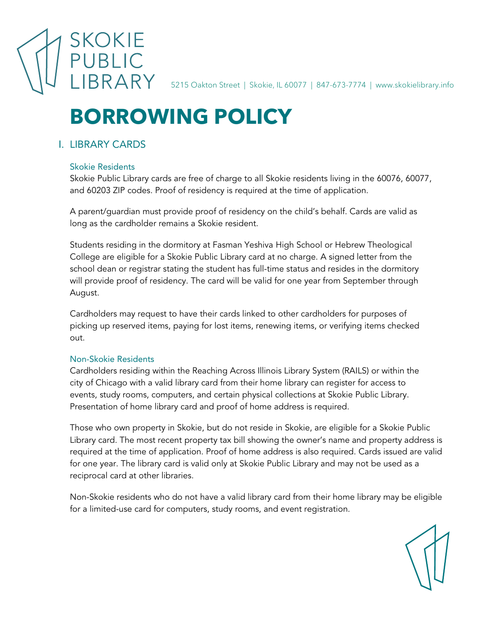

5215 Oakton Street | Skokie, IL 60077 | 847-673-7774 | www.skokielibrary.info

# **BORROWING POLICY**

# I. LIBRARY CARDS

#### Skokie Residents

Skokie Public Library cards are free of charge to all Skokie residents living in the 60076, 60077, and 60203 ZIP codes. Proof of residency is required at the time of application.

A parent/guardian must provide proof of residency on the child's behalf. Cards are valid as long as the cardholder remains a Skokie resident.

Students residing in the dormitory at Fasman Yeshiva High School or Hebrew Theological College are eligible for a Skokie Public Library card at no charge. A signed letter from the school dean or registrar stating the student has full-time status and resides in the dormitory will provide proof of residency. The card will be valid for one year from September through August.

Cardholders may request to have their cards linked to other cardholders for purposes of picking up reserved items, paying for lost items, renewing items, or verifying items checked out.

## Non-Skokie Residents

Cardholders residing within the Reaching Across Illinois Library System (RAILS) or within the city of Chicago with a valid library card from their home library can register for access to events, study rooms, computers, and certain physical collections at Skokie Public Library. Presentation of home library card and proof of home address is required.

Those who own property in Skokie, but do not reside in Skokie, are eligible for a Skokie Public Library card. The most recent property tax bill showing the owner's name and property address is required at the time of application. Proof of home address is also required. Cards issued are valid for one year. The library card is valid only at Skokie Public Library and may not be used as a reciprocal card at other libraries.

Non-Skokie residents who do not have a valid library card from their home library may be eligible for a limited-use card for computers, study rooms, and event registration.

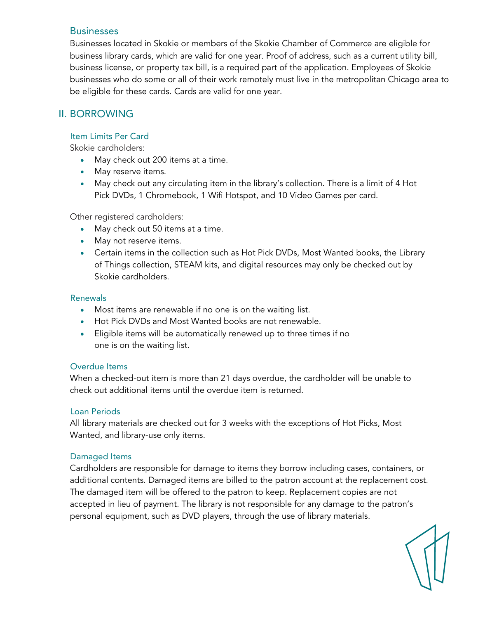#### **Businesses**

Businesses located in Skokie or members of the Skokie Chamber of Commerce are eligible for business library cards, which are valid for one year. Proof of address, such as a current utility bill, business license, or property tax bill, is a required part of the application. Employees of Skokie businesses who do some or all of their work remotely must live in the metropolitan Chicago area to be eligible for these cards. Cards are valid for one year.

## II. BORROWING

## Item Limits Per Card

Skokie cardholders:

- May check out 200 items at a time.
- May reserve items.
- May check out any circulating item in the library's collection. There is a limit of 4 Hot Pick DVDs, 1 Chromebook, 1 Wifi Hotspot, and 10 Video Games per card.

Other registered cardholders:

- May check out 50 items at a time.
- May not reserve items.
- Certain items in the collection such as Hot Pick DVDs, Most Wanted books, the Library of Things collection, STEAM kits, and digital resources may only be checked out by Skokie cardholders.

#### Renewals

- Most items are renewable if no one is on the waiting list.
- Hot Pick DVDs and Most Wanted books are not renewable.
- Eligible items will be automatically renewed up to three times if no one is on the waiting list.

#### Overdue Items

When a checked-out item is more than 21 days overdue, the cardholder will be unable to check out additional items until the overdue item is returned.

#### Loan Periods

All library materials are checked out for 3 weeks with the exceptions of Hot Picks, Most Wanted, and library-use only items.

#### Damaged Items

Cardholders are responsible for damage to items they borrow including cases, containers, or additional contents. Damaged items are billed to the patron account at the replacement cost. The damaged item will be offered to the patron to keep. Replacement copies are not accepted in lieu of payment. The library is not responsible for any damage to the patron's personal equipment, such as DVD players, through the use of library materials.